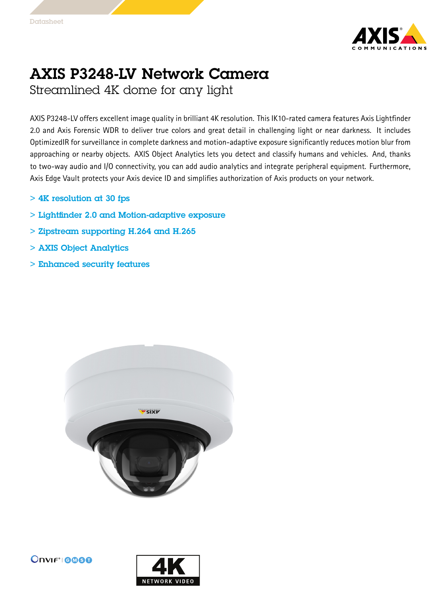

## AXIS P3248-LV Network Camera

Streamlined 4K dome for any light

AXIS P3248-LV offers excellent image quality in brilliant 4K resolution. This IK10-rated camera features Axis Lightfinder 2.0 and Axis Forensic WDR to deliver true colors and great detail in challenging light or near darkness. It includes OptimizedIR for surveillance in complete darkness and motion-adaptive exposure significantly reduces motion blur from approaching or nearby objects. AXIS Object Analytics lets you detect and classify humans and vehicles. And, thanks to two-way audio and I/O connectivity, you can add audio analytics and integrate peripheral equipment. Furthermore, Axis Edge Vault protects your Axis device ID and simplifies authorization of Axis products on your network.

- $> 4K$  resolution at 30 fps
- > Lightfinder 2.0 and Motion-adaptive exposure
- > Zipstream supporting H.264 and H.265
- > AXIS Object Analytics
- > Enhanced security features



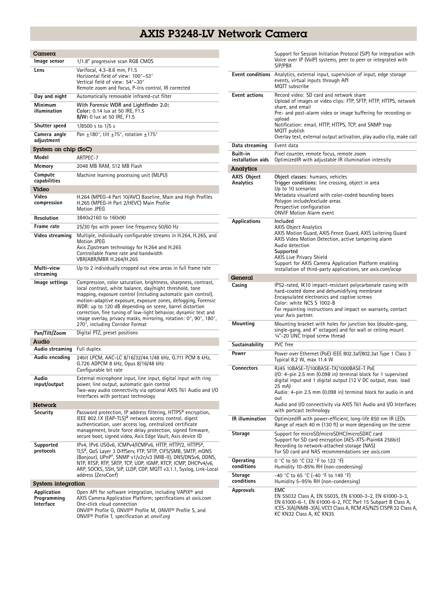## AXIS P3248-LV Network Camera

| Camera                                  |                                                                                                                                                                                                                                                                                                                                                                                                                                                                                                     |  |
|-----------------------------------------|-----------------------------------------------------------------------------------------------------------------------------------------------------------------------------------------------------------------------------------------------------------------------------------------------------------------------------------------------------------------------------------------------------------------------------------------------------------------------------------------------------|--|
| lmage sensor                            | 1/1.8" progressive scan RGB CMOS                                                                                                                                                                                                                                                                                                                                                                                                                                                                    |  |
| Lens                                    | Varifocal, 4.3-8.6 mm, F1.5<br>Horizontal field of view: 100°-53°<br>Vertical field of view: 54°-30°<br>Remote zoom and focus, P-Iris control, IR corrected                                                                                                                                                                                                                                                                                                                                         |  |
| Day and night                           | Automatically removable infrared-cut filter                                                                                                                                                                                                                                                                                                                                                                                                                                                         |  |
| Minimum<br>illumination                 | With Forensic WDR and Lightfinder 2.0:<br>Color: 0.14 lux at 50 IRE, F1.5<br><b>B/W:</b> 0 lux at 50 IRE, F1.5                                                                                                                                                                                                                                                                                                                                                                                      |  |
| Shutter speed                           | 1/8500 s to 1/5 s                                                                                                                                                                                                                                                                                                                                                                                                                                                                                   |  |
| Camera angle<br>adjustment              | Pan $\pm$ 180°, tilt $\pm$ 75°, rotation $\pm$ 175°                                                                                                                                                                                                                                                                                                                                                                                                                                                 |  |
| System on chip (SoC)                    |                                                                                                                                                                                                                                                                                                                                                                                                                                                                                                     |  |
| Model                                   | ARTPEC-7                                                                                                                                                                                                                                                                                                                                                                                                                                                                                            |  |
| Memory                                  | 2048 MB RAM, 512 MB Flash                                                                                                                                                                                                                                                                                                                                                                                                                                                                           |  |
| Compute<br>capabilities<br>Video        | Machine learning processing unit (MLPU)                                                                                                                                                                                                                                                                                                                                                                                                                                                             |  |
| Video<br>compression                    | H.264 (MPEG-4 Part 10/AVC) Baseline, Main and High Profiles<br>H.265 (MPEG-H Part 2/HEVC) Main Profile<br>Motion JPEG                                                                                                                                                                                                                                                                                                                                                                               |  |
| Resolution                              | 3840x2160 to 160x90                                                                                                                                                                                                                                                                                                                                                                                                                                                                                 |  |
| Frame rate                              | 25/30 fps with power line frequency 50/60 Hz                                                                                                                                                                                                                                                                                                                                                                                                                                                        |  |
| Video streaming                         | Multiple, individually configurable streams in H.264, H.265, and<br>Motion JPEG<br>Axis Zipstream technology for H.264 and H.265<br>Controllable frame rate and bandwidth<br>VBR/ABR/MBR H.264/H.265                                                                                                                                                                                                                                                                                                |  |
| Multi-view<br>streaming                 | Up to 2 individually cropped out view areas in full frame rate                                                                                                                                                                                                                                                                                                                                                                                                                                      |  |
| lmage settings                          | Compression, color saturation, brightness, sharpness, contrast,<br>local contrast, white balance, day/night threshold, tone<br>mapping, exposure control (including automatic gain control),<br>motion-adaptive exposure, exposure zones, defogging, Forensic<br>WDR: up to 120 dB depending on scene, barrel distortion<br>correction, fine tuning of low-light behavior, dynamic text and<br>image overlay, privacy masks, mirroring, rotation: 0°, 90°, 180°,<br>270°, including Corridor Format |  |
| Pan/Tilt/Zoom                           | Digital PTZ, preset positions                                                                                                                                                                                                                                                                                                                                                                                                                                                                       |  |
| Audio                                   |                                                                                                                                                                                                                                                                                                                                                                                                                                                                                                     |  |
| Audio streaming                         | Full duplex                                                                                                                                                                                                                                                                                                                                                                                                                                                                                         |  |
| Audio encoding                          | 24bit LPCM, AAC-LC 8/16/32/44.1/48 kHz, G.711 PCM 8 kHz,<br>G.726 ADPCM 8 kHz, Opus 8/16/48 kHz<br>Configurable bit rate                                                                                                                                                                                                                                                                                                                                                                            |  |
| Audio<br>input/output                   | External microphone input, line input, digital input with ring<br>power, line output, automatic gain control<br>Two-way audio connectivity via optional AXIS T61 Audio and I/O<br>Interfaces with portcast technology                                                                                                                                                                                                                                                                               |  |
| Network                                 |                                                                                                                                                                                                                                                                                                                                                                                                                                                                                                     |  |
| Security                                | Password protection, IP address filtering, HTTPS <sup>a</sup> encryption,<br>IEEE 802.1X (EAP-TLS) <sup>a</sup> network access control, digest<br>authentication, user access log, centralized certificate<br>management, brute force delay protection, signed firmware,<br>secure boot, signed video, Axis Edge Vault, Axis device ID                                                                                                                                                              |  |
| Supported<br>protocols                  | IPv4, IPv6 USGv6, ICMPv4/ICMPv6, HTTP, HTTP/2, HTTPS <sup>a</sup> ,<br>TLS <sup>a</sup> , QoS Layer 3 DiffServ, FTP, SFTP, CIFS/SMB, SMTP, mDNS<br>(Bonjour), UPnP®, SNMP v1/v2c/v3 (MIB-II), DNS/DNSv6, DDNS,<br>NTP, RTSP, RTP, SRTP, TCP, UDP, IGMP, RTCP, ICMP, DHCPv4/v6,<br>ARP, SOCKS, SSH, SIP, LLDP, CDP, MQTT v3.1.1, Syslog, Link-Local<br>address (ZeroConf)                                                                                                                            |  |
| System integration                      |                                                                                                                                                                                                                                                                                                                                                                                                                                                                                                     |  |
| Application<br>Programming<br>Interface | Open API for software integration, including VAPIX <sup>®</sup> and<br>AXIS Camera Application Platform; specifications at axis.com<br>One-click cloud connection<br>ONVIF® Profile G, ONVIF® Profile M, ONVIF® Profile S, and<br>ONVIF <sup>®</sup> Profile T, specification at onvif.org                                                                                                                                                                                                          |  |

|                                 | Support for Session Initiation Protocol (SIP) for integration with<br>Voice over IP (VoIP) systems, peer to peer or integrated with<br>SIP/PBX                                                                                                                                                                                                                 |
|---------------------------------|----------------------------------------------------------------------------------------------------------------------------------------------------------------------------------------------------------------------------------------------------------------------------------------------------------------------------------------------------------------|
|                                 | Event conditions Analytics, external input, supervision of input, edge storage<br>events, virtual inputs through API<br>MQTT subscribe                                                                                                                                                                                                                         |
| <b>Event actions</b>            | Record video: SD card and network share<br>Upload of images or video clips: FTP, SFTP, HTTP, HTTPS, network<br>share, and email<br>Pre- and post-alarm video or image buffering for recording or<br>upload<br>Notification: email, HTTP, HTTPS, TCP, and SNMP trap<br>MQTT publish<br>Overlay text, external output activation, play audio clip, make call     |
| Data streaming                  | Event data                                                                                                                                                                                                                                                                                                                                                     |
| Built-in<br>installation aids   | Pixel counter, remote focus, remote zoom<br>OptimizedIR with adjustable IR illumination intensity                                                                                                                                                                                                                                                              |
| Analytics                       |                                                                                                                                                                                                                                                                                                                                                                |
| <b>AXIS Object</b><br>Analytics | Object classes: humans, vehicles<br>Trigger conditions: line crossing, object in area<br>Up to 10 scenarios<br>Metadata visualized with color-coded bounding boxes<br>Polygon include/exclude areas<br>Perspective configuration<br><b>ONVIF Motion Alarm event</b>                                                                                            |
| <b>Applications</b>             | Included<br><b>AXIS Object Analytics</b><br>AXIS Motion Guard, AXIS Fence Guard, AXIS Loitering Guard<br>AXIS Video Motion Detection, active tampering alarm<br>Audio detection<br>Supported<br>AXIS Live Privacy Shield<br>Support for AXIS Camera Application Platform enabling<br>installation of third-party applications, see <i>axis.com/acap</i>        |
| General                         |                                                                                                                                                                                                                                                                                                                                                                |
| Casing                          | IP52-rated, IK10 impact-resistant polycarbonate casing with<br>hard-coated dome and dehumidifying membrane<br>Encapsulated electronics and captive screws<br>Color: white NCS S 1002-B<br>For repainting instructions and impact on warranty, contact<br>your Axis partner.                                                                                    |
| Mounting                        | Mounting bracket with holes for junction box (double-gang,<br>single-gang, and 4" octagon) and for wall or ceiling mount<br>1/4"-20 UNC tripod screw thread                                                                                                                                                                                                    |
| Sustainability                  | PVC free                                                                                                                                                                                                                                                                                                                                                       |
| Power                           | Power over Ethernet (PoE) IEEE 802.3af/802.3at Type 1 Class 3<br>Typical 8.2 W, max 11.4 W                                                                                                                                                                                                                                                                     |
| Connectors                      | RJ45 10BASE-T/100BASE-TX/1000BASE-T PoE<br>$1/0$ : 4-pin 2.5 mm (0.098 in) terminal block for 1 supervised<br>digital input and 1 digital output (12 V DC output, max. load<br>25 mA)<br>Audio: 4-pin 2.5 mm (0.098 in) terminal block for audio in and<br>out<br>Audio and I/O connectivity via AXIS T61 Audio and I/O Interfaces<br>with portcast technology |
| <b>IR</b> illumination          | OptimizedIR with power-efficient, long-life 850 nm IR LEDs<br>Range of reach 40 m (130 ft) or more depending on the scene                                                                                                                                                                                                                                      |
| Storage                         | Support for microSD/microSDHC/microSDXC card<br>Support for SD card encryption (AES-XTS-Plain64 256bit)<br>Recording to network-attached storage (NAS)<br>For SD card and NAS recommendations see axis.com                                                                                                                                                     |
| Operating<br>conditions         | 0 °C to 50 °C (32 °F to 122 °F)<br>Humidity 10-85% RH (non-condensing)                                                                                                                                                                                                                                                                                         |
| Storage<br>conditions           | -40 °C to 65 °C (-40 °F to 149 °F)<br>Humidity 5-95% RH (non-condensing)                                                                                                                                                                                                                                                                                       |
| Approvals                       | <b>EMC</b><br>EN 55032 Class A, EN 55035, EN 61000-3-2, EN 61000-3-3,<br>EN 61000-6-1, EN 61000-6-2, FCC Part 15 Subpart B Class A,<br>ICES-3(A)/NMB-3(A), VCCI Class A, RCM AS/NZS CISPR 32 Class A,<br>KC KN32 Class A, KC KN35                                                                                                                              |